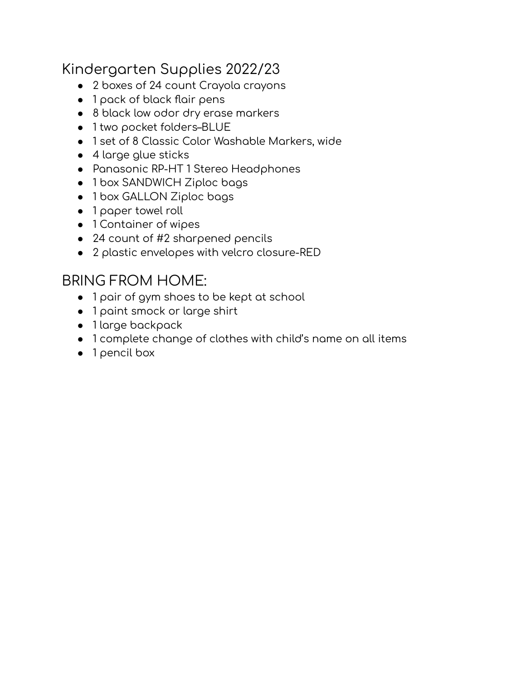## Kindergarten Supplies 2022/23

- 2 boxes of 24 count Crayola crayons
- 1 pack of black flair pens
- 8 black low odor dry erase markers
- 1 two pocket folders–BLUE
- 1 set of 8 Classic Color Washable Markers, wide
- $\bullet$  4 large glue sticks
- Panasonic RP-HT 1 Stereo Headphones
- 1 box SANDWICH Ziploc bags
- 1 box GALLON Ziploc bags
- 1 paper towel roll
- 1 Container of wipes
- 24 count of #2 sharpened pencils
- 2 plastic envelopes with velcro closure-RED

#### BRING FROM HOME:

- 1 pair of gym shoes to be kept at school
- 1 paint smock or large shirt
- $\bullet$  1 large backpack
- 1 complete change of clothes with child's name on all items
- 1 pencil box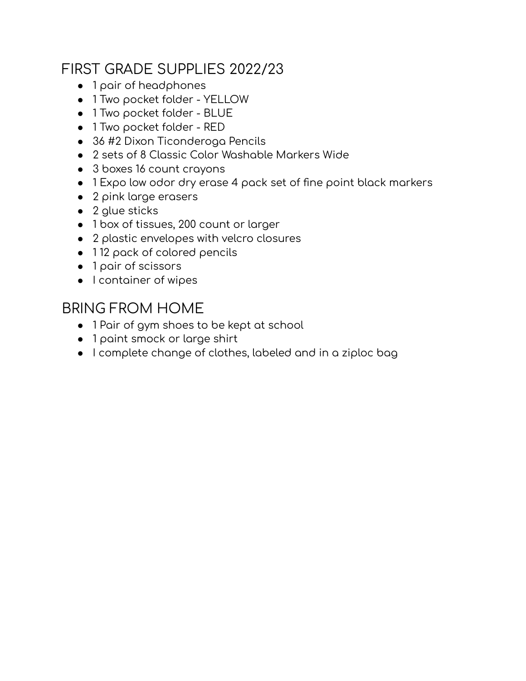## FIRST GRADE SUPPLIES 2022/23

- 1 pair of headphones
- 1 Two pocket folder YELLOW
- 1 Two pocket folder BLUE
- 1 Two pocket folder RED
- 36 #2 Dixon Ticonderoga Pencils
- 2 sets of 8 Classic Color Washable Markers Wide
- 3 boxes 16 count crayons
- 1 Expo low odor dry erase 4 pack set of fine point black markers
- 2 pink large erasers
- $\bullet$  2 glue sticks
- 1 box of tissues, 200 count or larger
- 2 plastic envelopes with velcro closures
- 112 pack of colored pencils
- 1 pair of scissors
- I container of wipes

#### BRING FROM HOME

- 1 Pair of gym shoes to be kept at school
- 1 paint smock or large shirt
- $\bullet$  I complete change of clothes, labeled and in a ziploc bag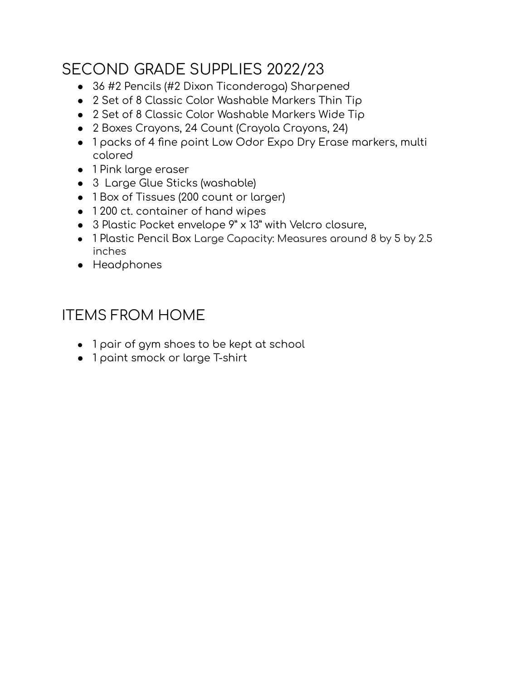# SECOND GRADE SUPPLIES 2022/23

- 36 #2 Pencils (#2 Dixon Ticonderoga) Sharpened
- 2 Set of 8 Classic Color Washable Markers Thin Tip
- 2 Set of 8 Classic Color Washable Markers Wide Tip
- 2 Boxes Crayons, 24 Count (Crayola Crayons, 24)
- 1 packs of 4 fine point Low Odor Expo Dry Erase markers, multi colored
- 1 Pink large eraser
- 3 Large Glue Sticks (washable)
- 1 Box of Tissues (200 count or larger)
- 1200 ct. container of hand wipes
- 3 Plastic Pocket envelope 9" x 13" with Velcro closure,
- 1 Plastic Pencil Box Large Capacity: Measures around 8 by 5 by 2.5 inches
- Headphones

## ITEMS FROM HOME

- $\bullet$  1 pair of gym shoes to be kept at school
- 1 paint smock or large T-shirt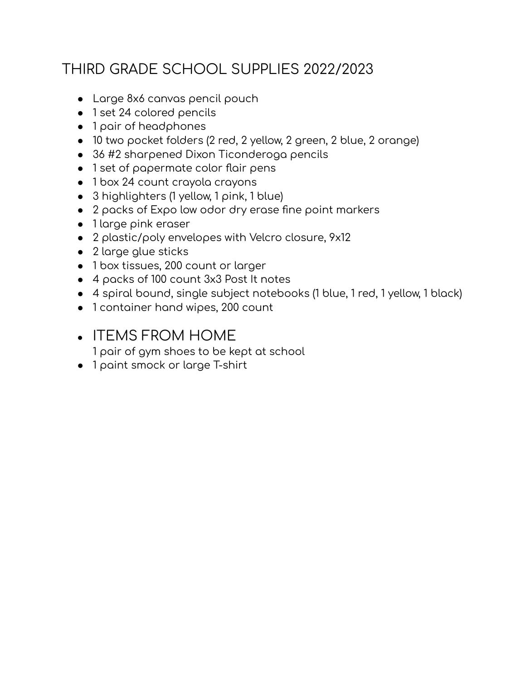# THIRD GRADE SCHOOL SUPPLIES 2022/2023

- Large 8x6 canvas pencil pouch
- 1 set 24 colored pencils
- 1 pair of headphones
- 10 two pocket folders (2 red, 2 yellow, 2 green, 2 blue, 2 orange)
- $\bullet$  36 #2 sharpened Dixon Ticonderoga pencils
- 1 set of papermate color flair pens
- 1 box 24 count crayola crayons
- $\bullet$  3 highlighters (1 yellow, 1 pink, 1 blue)
- 2 packs of Expo low odor dry erase fine point markers
- 1 large pink eraser
- 2 plastic/poly envelopes with Velcro closure, 9x12
- 2 large glue sticks
- 1 box tissues, 200 count or larger
- 4 packs of 100 count 3x3 Post It notes
- 4 spiral bound, single subject notebooks (1 blue, 1 red, 1 yellow, 1 black)
- 1 container hand wipes, 200 count
- ITEMS FROM HOME
	- 1 pair of gym shoes to be kept at school
- 1 paint smock or large T-shirt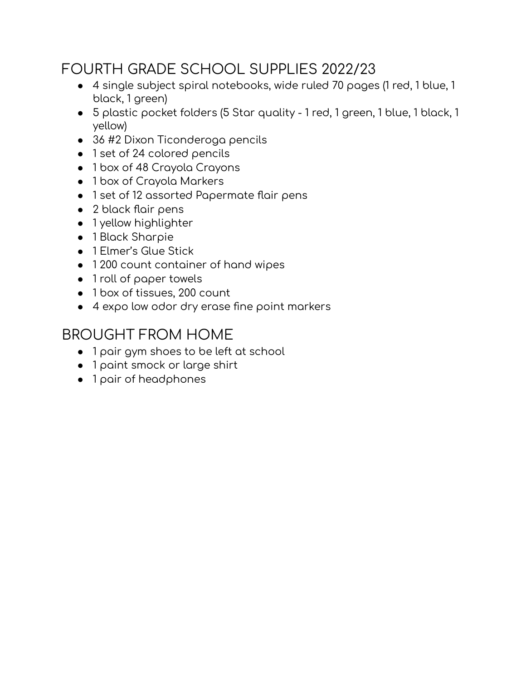## FOURTH GRADE SCHOOL SUPPLIES 2022/23

- 4 single subject spiral notebooks, wide ruled 70 pages (1 red, 1 blue, 1 black, 1 green)
- 5 plastic pocket folders (5 Star quality 1 red, 1 green, 1 blue, 1 black, 1 yellow)
- 36 #2 Dixon Ticonderoga pencils
- 1 set of 24 colored pencils
- 1 box of 48 Crayola Crayons
- 1 box of Crayola Markers
- 1 set of 12 assorted Papermate flair pens
- 2 black flair pens
- 1 yellow highlighter
- 1 Black Sharpie
- 1 Elmer's Glue Stick
- 1200 count container of hand wipes
- 1 roll of paper towels
- 1 box of tissues, 200 count
- 4 expo low odor dry erase fine point markers

#### BROUGHT FROM HOME

- 1 pair gym shoes to be left at school
- 1 paint smock or large shirt
- 1 pair of headphones